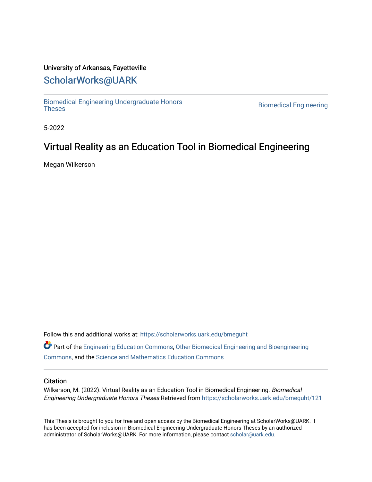## University of Arkansas, Fayetteville

## [ScholarWorks@UARK](https://scholarworks.uark.edu/)

[Biomedical Engineering Undergraduate Honors](https://scholarworks.uark.edu/bmeguht)

**Biomedical Engineering** 

5-2022

# Virtual Reality as an Education Tool in Biomedical Engineering

Megan Wilkerson

Follow this and additional works at: [https://scholarworks.uark.edu/bmeguht](https://scholarworks.uark.edu/bmeguht?utm_source=scholarworks.uark.edu%2Fbmeguht%2F121&utm_medium=PDF&utm_campaign=PDFCoverPages) 

Part of the [Engineering Education Commons,](http://network.bepress.com/hgg/discipline/1191?utm_source=scholarworks.uark.edu%2Fbmeguht%2F121&utm_medium=PDF&utm_campaign=PDFCoverPages) [Other Biomedical Engineering and Bioengineering](http://network.bepress.com/hgg/discipline/239?utm_source=scholarworks.uark.edu%2Fbmeguht%2F121&utm_medium=PDF&utm_campaign=PDFCoverPages) [Commons](http://network.bepress.com/hgg/discipline/239?utm_source=scholarworks.uark.edu%2Fbmeguht%2F121&utm_medium=PDF&utm_campaign=PDFCoverPages), and the [Science and Mathematics Education Commons](http://network.bepress.com/hgg/discipline/800?utm_source=scholarworks.uark.edu%2Fbmeguht%2F121&utm_medium=PDF&utm_campaign=PDFCoverPages) 

#### **Citation**

Wilkerson, M. (2022). Virtual Reality as an Education Tool in Biomedical Engineering. Biomedical Engineering Undergraduate Honors Theses Retrieved from [https://scholarworks.uark.edu/bmeguht/121](https://scholarworks.uark.edu/bmeguht/121?utm_source=scholarworks.uark.edu%2Fbmeguht%2F121&utm_medium=PDF&utm_campaign=PDFCoverPages)

This Thesis is brought to you for free and open access by the Biomedical Engineering at ScholarWorks@UARK. It has been accepted for inclusion in Biomedical Engineering Undergraduate Honors Theses by an authorized administrator of ScholarWorks@UARK. For more information, please contact [scholar@uark.edu](mailto:scholar@uark.edu).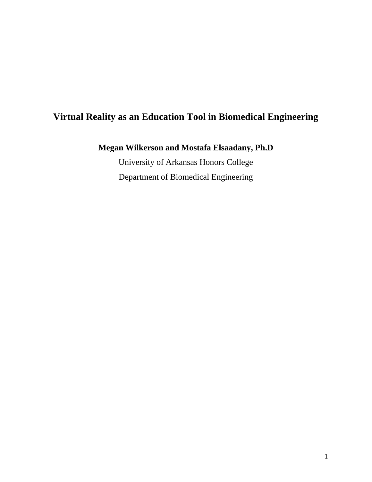# **Virtual Reality as an Education Tool in Biomedical Engineering**

## **Megan Wilkerson and Mostafa Elsaadany, Ph.D**

University of Arkansas Honors College Department of Biomedical Engineering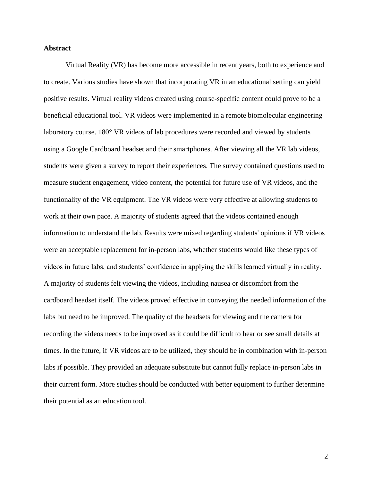#### **Abstract**

Virtual Reality (VR) has become more accessible in recent years, both to experience and to create. Various studies have shown that incorporating VR in an educational setting can yield positive results. Virtual reality videos created using course-specific content could prove to be a beneficial educational tool. VR videos were implemented in a remote biomolecular engineering laboratory course. 180° VR videos of lab procedures were recorded and viewed by students using a Google Cardboard headset and their smartphones. After viewing all the VR lab videos, students were given a survey to report their experiences. The survey contained questions used to measure student engagement, video content, the potential for future use of VR videos, and the functionality of the VR equipment. The VR videos were very effective at allowing students to work at their own pace. A majority of students agreed that the videos contained enough information to understand the lab. Results were mixed regarding students' opinions if VR videos were an acceptable replacement for in-person labs, whether students would like these types of videos in future labs, and students' confidence in applying the skills learned virtually in reality. A majority of students felt viewing the videos, including nausea or discomfort from the cardboard headset itself. The videos proved effective in conveying the needed information of the labs but need to be improved. The quality of the headsets for viewing and the camera for recording the videos needs to be improved as it could be difficult to hear or see small details at times. In the future, if VR videos are to be utilized, they should be in combination with in-person labs if possible. They provided an adequate substitute but cannot fully replace in-person labs in their current form. More studies should be conducted with better equipment to further determine their potential as an education tool.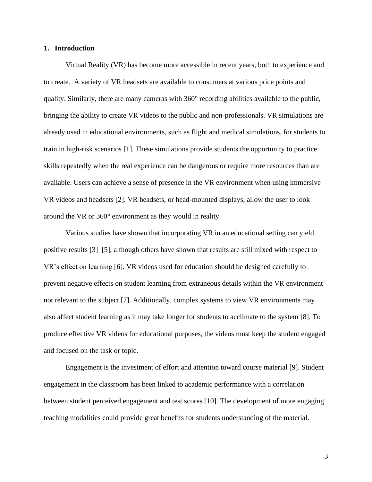#### **1. Introduction**

Virtual Reality (VR) has become more accessible in recent years, both to experience and to create. A variety of VR headsets are available to consumers at various price points and quality. Similarly, there are many cameras with 360° recording abilities available to the public, bringing the ability to create VR videos to the public and non-professionals. VR simulations are already used in educational environments, such as flight and medical simulations, for students to train in high-risk scenarios [1]. These simulations provide students the opportunity to practice skills repeatedly when the real experience can be dangerous or require more resources than are available. Users can achieve a sense of presence in the VR environment when using immersive VR videos and headsets [2]. VR headsets, or head-mounted displays, allow the user to look around the VR or 360° environment as they would in reality.

Various studies have shown that incorporating VR in an educational setting can yield positive results [3]–[5], although others have shown that results are still mixed with respect to VR's effect on learning [6]. VR videos used for education should be designed carefully to prevent negative effects on student learning from extraneous details within the VR environment not relevant to the subject [7]. Additionally, complex systems to view VR environments may also affect student learning as it may take longer for students to acclimate to the system [8]. To produce effective VR videos for educational purposes, the videos must keep the student engaged and focused on the task or topic.

Engagement is the investment of effort and attention toward course material [9]. Student engagement in the classroom has been linked to academic performance with a correlation between student perceived engagement and test scores [10]. The development of more engaging teaching modalities could provide great benefits for students understanding of the material.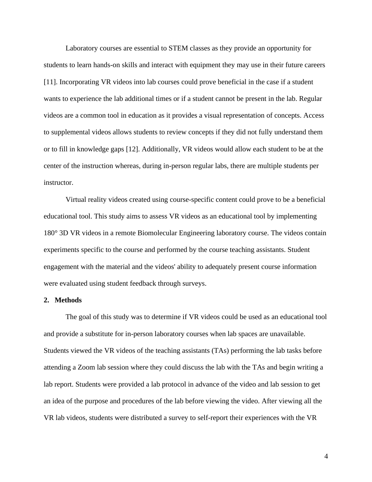Laboratory courses are essential to STEM classes as they provide an opportunity for students to learn hands-on skills and interact with equipment they may use in their future careers [11]. Incorporating VR videos into lab courses could prove beneficial in the case if a student wants to experience the lab additional times or if a student cannot be present in the lab. Regular videos are a common tool in education as it provides a visual representation of concepts. Access to supplemental videos allows students to review concepts if they did not fully understand them or to fill in knowledge gaps [12]. Additionally, VR videos would allow each student to be at the center of the instruction whereas, during in-person regular labs, there are multiple students per instructor.

Virtual reality videos created using course-specific content could prove to be a beneficial educational tool. This study aims to assess VR videos as an educational tool by implementing 180° 3D VR videos in a remote Biomolecular Engineering laboratory course. The videos contain experiments specific to the course and performed by the course teaching assistants. Student engagement with the material and the videos' ability to adequately present course information were evaluated using student feedback through surveys.

#### **2. Methods**

The goal of this study was to determine if VR videos could be used as an educational tool and provide a substitute for in-person laboratory courses when lab spaces are unavailable. Students viewed the VR videos of the teaching assistants (TAs) performing the lab tasks before attending a Zoom lab session where they could discuss the lab with the TAs and begin writing a lab report. Students were provided a lab protocol in advance of the video and lab session to get an idea of the purpose and procedures of the lab before viewing the video. After viewing all the VR lab videos, students were distributed a survey to self-report their experiences with the VR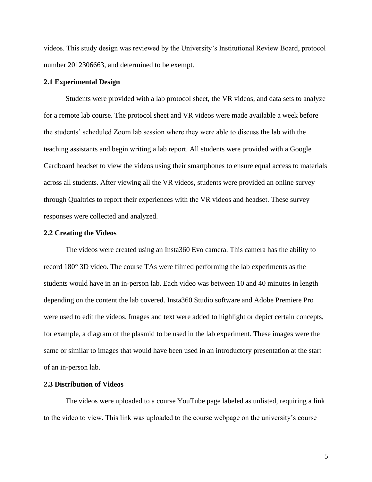videos. This study design was reviewed by the University's Institutional Review Board, protocol number 2012306663, and determined to be exempt.

#### **2.1 Experimental Design**

Students were provided with a lab protocol sheet, the VR videos, and data sets to analyze for a remote lab course. The protocol sheet and VR videos were made available a week before the students' scheduled Zoom lab session where they were able to discuss the lab with the teaching assistants and begin writing a lab report. All students were provided with a Google Cardboard headset to view the videos using their smartphones to ensure equal access to materials across all students. After viewing all the VR videos, students were provided an online survey through Qualtrics to report their experiences with the VR videos and headset. These survey responses were collected and analyzed.

#### **2.2 Creating the Videos**

The videos were created using an Insta360 Evo camera. This camera has the ability to record 180° 3D video. The course TAs were filmed performing the lab experiments as the students would have in an in-person lab. Each video was between 10 and 40 minutes in length depending on the content the lab covered. Insta360 Studio software and Adobe Premiere Pro were used to edit the videos. Images and text were added to highlight or depict certain concepts, for example, a diagram of the plasmid to be used in the lab experiment. These images were the same or similar to images that would have been used in an introductory presentation at the start of an in-person lab.

#### **2.3 Distribution of Videos**

The videos were uploaded to a course YouTube page labeled as unlisted, requiring a link to the video to view. This link was uploaded to the course webpage on the university's course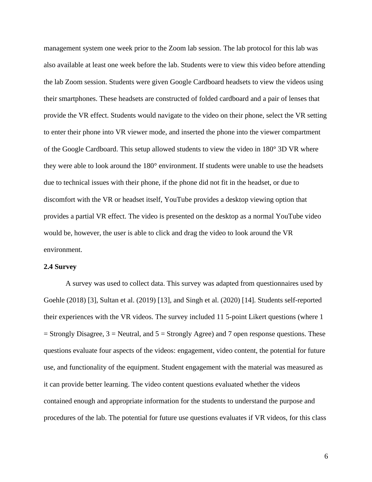management system one week prior to the Zoom lab session. The lab protocol for this lab was also available at least one week before the lab. Students were to view this video before attending the lab Zoom session. Students were given Google Cardboard headsets to view the videos using their smartphones. These headsets are constructed of folded cardboard and a pair of lenses that provide the VR effect. Students would navigate to the video on their phone, select the VR setting to enter their phone into VR viewer mode, and inserted the phone into the viewer compartment of the Google Cardboard. This setup allowed students to view the video in 180° 3D VR where they were able to look around the 180° environment. If students were unable to use the headsets due to technical issues with their phone, if the phone did not fit in the headset, or due to discomfort with the VR or headset itself, YouTube provides a desktop viewing option that provides a partial VR effect. The video is presented on the desktop as a normal YouTube video would be, however, the user is able to click and drag the video to look around the VR environment.

#### **2.4 Survey**

A survey was used to collect data. This survey was adapted from questionnaires used by Goehle (2018) [3], Sultan et al. (2019) [13], and Singh et al. (2020) [14]. Students self-reported their experiences with the VR videos. The survey included 11 5-point Likert questions (where 1  $=$  Strongly Disagree, 3  $=$  Neutral, and 5  $=$  Strongly Agree) and 7 open response questions. These questions evaluate four aspects of the videos: engagement, video content, the potential for future use, and functionality of the equipment. Student engagement with the material was measured as it can provide better learning. The video content questions evaluated whether the videos contained enough and appropriate information for the students to understand the purpose and procedures of the lab. The potential for future use questions evaluates if VR videos, for this class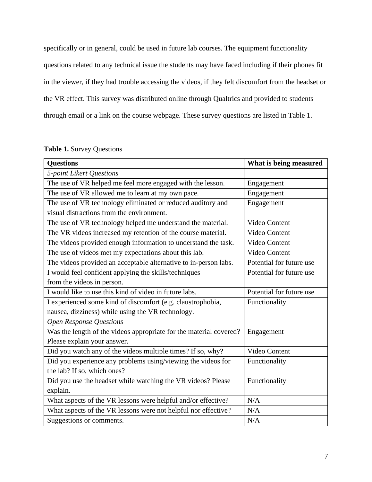specifically or in general, could be used in future lab courses. The equipment functionality questions related to any technical issue the students may have faced including if their phones fit in the viewer, if they had trouble accessing the videos, if they felt discomfort from the headset or the VR effect. This survey was distributed online through Qualtrics and provided to students through email or a link on the course webpage. These survey questions are listed in Table 1.

|  |  |  | <b>Table 1. Survey Questions</b> |
|--|--|--|----------------------------------|
|--|--|--|----------------------------------|

| <b>Questions</b>                                                   | What is being measured   |  |  |  |
|--------------------------------------------------------------------|--------------------------|--|--|--|
| 5-point Likert Questions                                           |                          |  |  |  |
| The use of VR helped me feel more engaged with the lesson.         | Engagement               |  |  |  |
| The use of VR allowed me to learn at my own pace.                  | Engagement               |  |  |  |
| The use of VR technology eliminated or reduced auditory and        | Engagement               |  |  |  |
| visual distractions from the environment.                          |                          |  |  |  |
| The use of VR technology helped me understand the material.        | Video Content            |  |  |  |
| The VR videos increased my retention of the course material.       | Video Content            |  |  |  |
| The videos provided enough information to understand the task.     | Video Content            |  |  |  |
| The use of videos met my expectations about this lab.              | Video Content            |  |  |  |
| The videos provided an acceptable alternative to in-person labs.   | Potential for future use |  |  |  |
| I would feel confident applying the skills/techniques              | Potential for future use |  |  |  |
| from the videos in person.                                         |                          |  |  |  |
| I would like to use this kind of video in future labs.             | Potential for future use |  |  |  |
| I experienced some kind of discomfort (e.g. claustrophobia,        | Functionality            |  |  |  |
| nausea, dizziness) while using the VR technology.                  |                          |  |  |  |
| <b>Open Response Questions</b>                                     |                          |  |  |  |
| Was the length of the videos appropriate for the material covered? | Engagement               |  |  |  |
| Please explain your answer.                                        |                          |  |  |  |
| Did you watch any of the videos multiple times? If so, why?        | Video Content            |  |  |  |
| Did you experience any problems using/viewing the videos for       | Functionality            |  |  |  |
| the lab? If so, which ones?                                        |                          |  |  |  |
| Did you use the headset while watching the VR videos? Please       | Functionality            |  |  |  |
| explain.                                                           |                          |  |  |  |
| What aspects of the VR lessons were helpful and/or effective?      | N/A                      |  |  |  |
| What aspects of the VR lessons were not helpful nor effective?     | N/A                      |  |  |  |
| Suggestions or comments.                                           | N/A                      |  |  |  |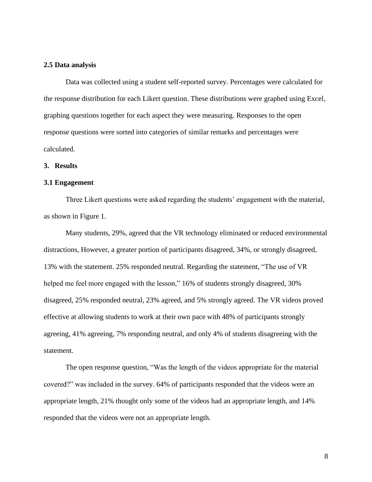#### **2.5 Data analysis**

Data was collected using a student self-reported survey. Percentages were calculated for the response distribution for each Likert question. These distributions were graphed using Excel, graphing questions together for each aspect they were measuring. Responses to the open response questions were sorted into categories of similar remarks and percentages were calculated.

#### **3. Results**

#### **3.1 Engagement**

Three Likert questions were asked regarding the students' engagement with the material, as shown in Figure 1.

Many students, 29%, agreed that the VR technology eliminated or reduced environmental distractions, However, a greater portion of participants disagreed, 34%, or strongly disagreed, 13% with the statement. 25% responded neutral. Regarding the statement, "The use of VR helped me feel more engaged with the lesson," 16% of students strongly disagreed, 30% disagreed, 25% responded neutral, 23% agreed, and 5% strongly agreed. The VR videos proved effective at allowing students to work at their own pace with 48% of participants strongly agreeing, 41% agreeing, 7% responding neutral, and only 4% of students disagreeing with the statement.

The open response question, "Was the length of the videos appropriate for the material covered?" was included in the survey. 64% of participants responded that the videos were an appropriate length, 21% thought only some of the videos had an appropriate length, and 14% responded that the videos were not an appropriate length.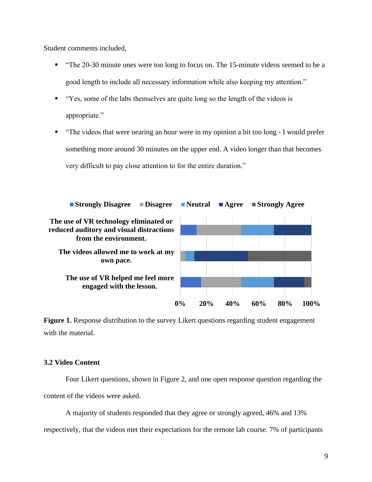Student comments included,

- "The 20-30 minute ones were too long to focus on. The 15-minute videos seemed to be a good length to include all necessary information while also keeping my attention."
- "Yes, some of the labs themselves are quite long so the length of the videos is appropriate."
- "The videos that were nearing an hour were in my opinion a bit too long I would prefer something more around 30 minutes on the upper end. A video longer than that becomes very difficult to pay close attention to for the entire duration."



Figure 1. Response distribution to the survey Likert questions regarding student engagement with the material.

### **3.2 Video Content**

Four Likert questions, shown in Figure 2, and one open response question regarding the content of the videos were asked.

A majority of students responded that they agree or strongly agreed, 46% and 13%

respectively, that the videos met their expectations for the remote lab course. 7% of participants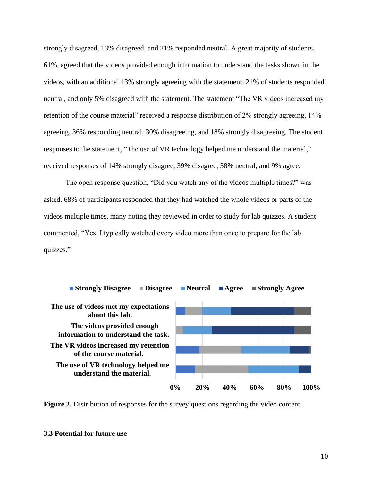strongly disagreed, 13% disagreed, and 21% responded neutral. A great majority of students, 61%, agreed that the videos provided enough information to understand the tasks shown in the videos, with an additional 13% strongly agreeing with the statement. 21% of students responded neutral, and only 5% disagreed with the statement. The statement "The VR videos increased my retention of the course material" received a response distribution of 2% strongly agreeing, 14% agreeing, 36% responding neutral, 30% disagreeing, and 18% strongly disagreeing. The student responses to the statement, "The use of VR technology helped me understand the material," received responses of 14% strongly disagree, 39% disagree, 38% neutral, and 9% agree.

The open response question, "Did you watch any of the videos multiple times?" was asked. 68% of participants responded that they had watched the whole videos or parts of the videos multiple times, many noting they reviewed in order to study for lab quizzes. A student commented, "Yes. I typically watched every video more than once to prepare for the lab quizzes."





#### **3.3 Potential for future use**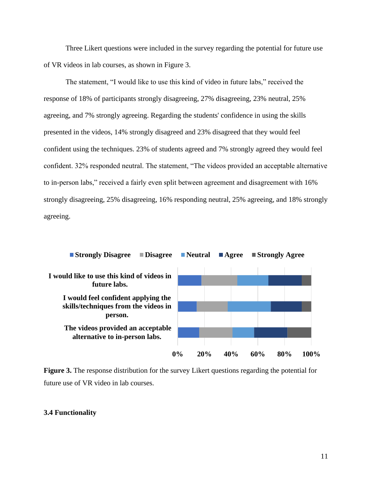Three Likert questions were included in the survey regarding the potential for future use of VR videos in lab courses, as shown in Figure 3.

The statement, "I would like to use this kind of video in future labs," received the response of 18% of participants strongly disagreeing, 27% disagreeing, 23% neutral, 25% agreeing, and 7% strongly agreeing. Regarding the students' confidence in using the skills presented in the videos, 14% strongly disagreed and 23% disagreed that they would feel confident using the techniques. 23% of students agreed and 7% strongly agreed they would feel confident. 32% responded neutral. The statement, "The videos provided an acceptable alternative to in-person labs," received a fairly even split between agreement and disagreement with 16% strongly disagreeing, 25% disagreeing, 16% responding neutral, 25% agreeing, and 18% strongly agreeing.





#### **3.4 Functionality**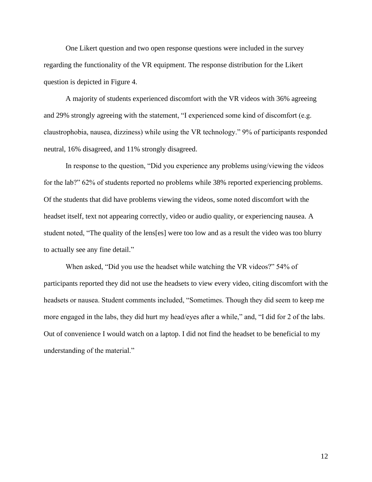One Likert question and two open response questions were included in the survey regarding the functionality of the VR equipment. The response distribution for the Likert question is depicted in Figure 4.

A majority of students experienced discomfort with the VR videos with 36% agreeing and 29% strongly agreeing with the statement, "I experienced some kind of discomfort (e.g. claustrophobia, nausea, dizziness) while using the VR technology." 9% of participants responded neutral, 16% disagreed, and 11% strongly disagreed.

In response to the question, "Did you experience any problems using/viewing the videos for the lab?" 62% of students reported no problems while 38% reported experiencing problems. Of the students that did have problems viewing the videos, some noted discomfort with the headset itself, text not appearing correctly, video or audio quality, or experiencing nausea. A student noted, "The quality of the lens[es] were too low and as a result the video was too blurry to actually see any fine detail."

When asked, "Did you use the headset while watching the VR videos?" 54% of participants reported they did not use the headsets to view every video, citing discomfort with the headsets or nausea. Student comments included, "Sometimes. Though they did seem to keep me more engaged in the labs, they did hurt my head/eyes after a while," and, "I did for 2 of the labs. Out of convenience I would watch on a laptop. I did not find the headset to be beneficial to my understanding of the material."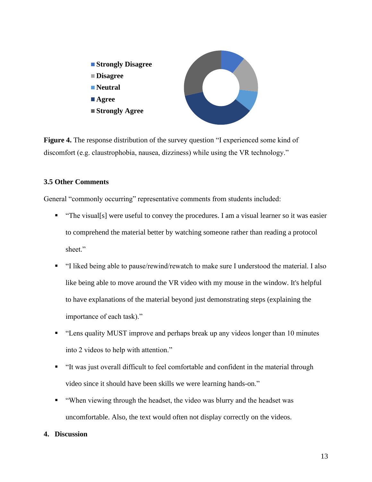

**Figure 4.** The response distribution of the survey question "I experienced some kind of discomfort (e.g. claustrophobia, nausea, dizziness) while using the VR technology."

## **3.5 Other Comments**

General "commonly occurring" representative comments from students included:

- "The visual[s] were useful to convey the procedures. I am a visual learner so it was easier to comprehend the material better by watching someone rather than reading a protocol sheet."
- "I liked being able to pause/rewind/rewatch to make sure I understood the material. I also like being able to move around the VR video with my mouse in the window. It's helpful to have explanations of the material beyond just demonstrating steps (explaining the importance of each task)."
- "Lens quality MUST improve and perhaps break up any videos longer than 10 minutes into 2 videos to help with attention."
- "It was just overall difficult to feel comfortable and confident in the material through video since it should have been skills we were learning hands-on."
- "When viewing through the headset, the video was blurry and the headset was uncomfortable. Also, the text would often not display correctly on the videos.

## **4. Discussion**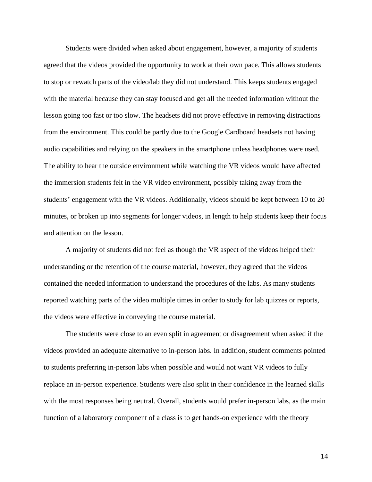Students were divided when asked about engagement, however, a majority of students agreed that the videos provided the opportunity to work at their own pace. This allows students to stop or rewatch parts of the video/lab they did not understand. This keeps students engaged with the material because they can stay focused and get all the needed information without the lesson going too fast or too slow. The headsets did not prove effective in removing distractions from the environment. This could be partly due to the Google Cardboard headsets not having audio capabilities and relying on the speakers in the smartphone unless headphones were used. The ability to hear the outside environment while watching the VR videos would have affected the immersion students felt in the VR video environment, possibly taking away from the students' engagement with the VR videos. Additionally, videos should be kept between 10 to 20 minutes, or broken up into segments for longer videos, in length to help students keep their focus and attention on the lesson.

A majority of students did not feel as though the VR aspect of the videos helped their understanding or the retention of the course material, however, they agreed that the videos contained the needed information to understand the procedures of the labs. As many students reported watching parts of the video multiple times in order to study for lab quizzes or reports, the videos were effective in conveying the course material.

The students were close to an even split in agreement or disagreement when asked if the videos provided an adequate alternative to in-person labs. In addition, student comments pointed to students preferring in-person labs when possible and would not want VR videos to fully replace an in-person experience. Students were also split in their confidence in the learned skills with the most responses being neutral. Overall, students would prefer in-person labs, as the main function of a laboratory component of a class is to get hands-on experience with the theory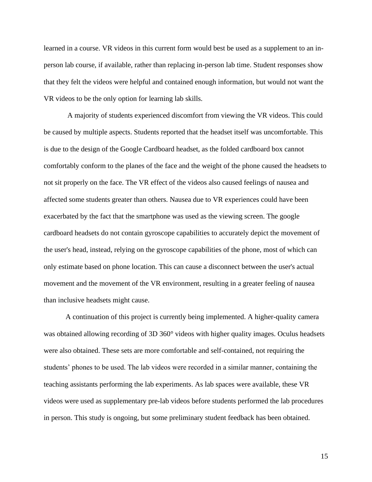learned in a course. VR videos in this current form would best be used as a supplement to an inperson lab course, if available, rather than replacing in-person lab time. Student responses show that they felt the videos were helpful and contained enough information, but would not want the VR videos to be the only option for learning lab skills.

A majority of students experienced discomfort from viewing the VR videos. This could be caused by multiple aspects. Students reported that the headset itself was uncomfortable. This is due to the design of the Google Cardboard headset, as the folded cardboard box cannot comfortably conform to the planes of the face and the weight of the phone caused the headsets to not sit properly on the face. The VR effect of the videos also caused feelings of nausea and affected some students greater than others. Nausea due to VR experiences could have been exacerbated by the fact that the smartphone was used as the viewing screen. The google cardboard headsets do not contain gyroscope capabilities to accurately depict the movement of the user's head, instead, relying on the gyroscope capabilities of the phone, most of which can only estimate based on phone location. This can cause a disconnect between the user's actual movement and the movement of the VR environment, resulting in a greater feeling of nausea than inclusive headsets might cause.

A continuation of this project is currently being implemented. A higher-quality camera was obtained allowing recording of 3D 360° videos with higher quality images. Oculus headsets were also obtained. These sets are more comfortable and self-contained, not requiring the students' phones to be used. The lab videos were recorded in a similar manner, containing the teaching assistants performing the lab experiments. As lab spaces were available, these VR videos were used as supplementary pre-lab videos before students performed the lab procedures in person. This study is ongoing, but some preliminary student feedback has been obtained.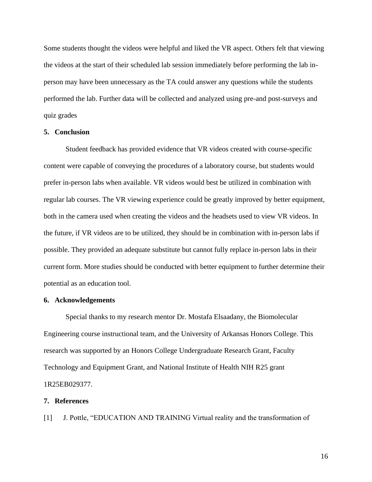Some students thought the videos were helpful and liked the VR aspect. Others felt that viewing the videos at the start of their scheduled lab session immediately before performing the lab inperson may have been unnecessary as the TA could answer any questions while the students performed the lab. Further data will be collected and analyzed using pre-and post-surveys and quiz grades

#### **5. Conclusion**

Student feedback has provided evidence that VR videos created with course-specific content were capable of conveying the procedures of a laboratory course, but students would prefer in-person labs when available. VR videos would best be utilized in combination with regular lab courses. The VR viewing experience could be greatly improved by better equipment, both in the camera used when creating the videos and the headsets used to view VR videos. In the future, if VR videos are to be utilized, they should be in combination with in-person labs if possible. They provided an adequate substitute but cannot fully replace in-person labs in their current form. More studies should be conducted with better equipment to further determine their potential as an education tool.

#### **6. Acknowledgements**

Special thanks to my research mentor Dr. Mostafa Elsaadany, the Biomolecular Engineering course instructional team, and the University of Arkansas Honors College. This research was supported by an Honors College Undergraduate Research Grant, Faculty Technology and Equipment Grant, and National Institute of Health NIH R25 grant 1R25EB029377.

#### **7. References**

[1] J. Pottle, "EDUCATION AND TRAINING Virtual reality and the transformation of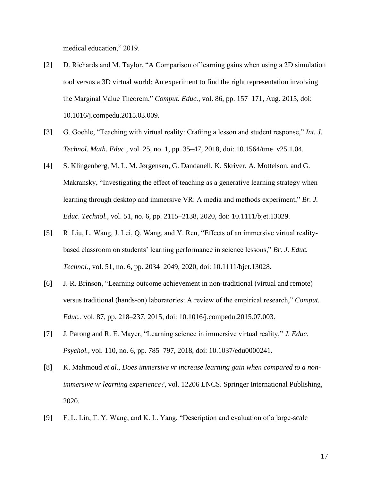medical education," 2019.

- [2] D. Richards and M. Taylor, "A Comparison of learning gains when using a 2D simulation tool versus a 3D virtual world: An experiment to find the right representation involving the Marginal Value Theorem," *Comput. Educ.*, vol. 86, pp. 157–171, Aug. 2015, doi: 10.1016/j.compedu.2015.03.009.
- [3] G. Goehle, "Teaching with virtual reality: Crafting a lesson and student response," *Int. J. Technol. Math. Educ.*, vol. 25, no. 1, pp. 35–47, 2018, doi: 10.1564/tme\_v25.1.04.
- [4] S. Klingenberg, M. L. M. Jørgensen, G. Dandanell, K. Skriver, A. Mottelson, and G. Makransky, "Investigating the effect of teaching as a generative learning strategy when learning through desktop and immersive VR: A media and methods experiment," *Br. J. Educ. Technol.*, vol. 51, no. 6, pp. 2115–2138, 2020, doi: 10.1111/bjet.13029.
- [5] R. Liu, L. Wang, J. Lei, Q. Wang, and Y. Ren, "Effects of an immersive virtual realitybased classroom on students' learning performance in science lessons," *Br. J. Educ. Technol.*, vol. 51, no. 6, pp. 2034–2049, 2020, doi: 10.1111/bjet.13028.
- [6] J. R. Brinson, "Learning outcome achievement in non-traditional (virtual and remote) versus traditional (hands-on) laboratories: A review of the empirical research," *Comput. Educ.*, vol. 87, pp. 218–237, 2015, doi: 10.1016/j.compedu.2015.07.003.
- [7] J. Parong and R. E. Mayer, "Learning science in immersive virtual reality," *J. Educ. Psychol.*, vol. 110, no. 6, pp. 785–797, 2018, doi: 10.1037/edu0000241.
- [8] K. Mahmoud *et al.*, *Does immersive vr increase learning gain when compared to a nonimmersive vr learning experience?*, vol. 12206 LNCS. Springer International Publishing, 2020.
- [9] F. L. Lin, T. Y. Wang, and K. L. Yang, "Description and evaluation of a large-scale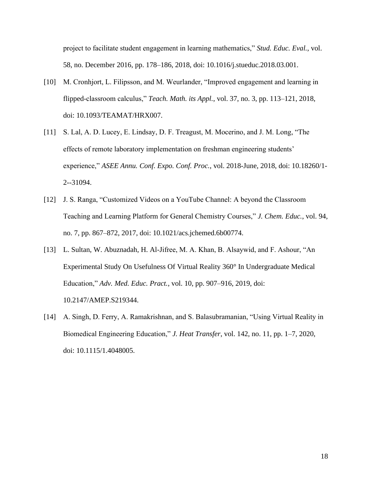project to facilitate student engagement in learning mathematics," *Stud. Educ. Eval.*, vol. 58, no. December 2016, pp. 178–186, 2018, doi: 10.1016/j.stueduc.2018.03.001.

- [10] M. Cronhjort, L. Filipsson, and M. Weurlander, "Improved engagement and learning in flipped-classroom calculus," *Teach. Math. its Appl.*, vol. 37, no. 3, pp. 113–121, 2018, doi: 10.1093/TEAMAT/HRX007.
- [11] S. Lal, A. D. Lucey, E. Lindsay, D. F. Treagust, M. Mocerino, and J. M. Long, "The effects of remote laboratory implementation on freshman engineering students' experience," *ASEE Annu. Conf. Expo. Conf. Proc.*, vol. 2018-June, 2018, doi: 10.18260/1- 2--31094.
- [12] J. S. Ranga, "Customized Videos on a YouTube Channel: A beyond the Classroom Teaching and Learning Platform for General Chemistry Courses," *J. Chem. Educ.*, vol. 94, no. 7, pp. 867–872, 2017, doi: 10.1021/acs.jchemed.6b00774.
- [13] L. Sultan, W. Abuznadah, H. Al-Jifree, M. A. Khan, B. Alsaywid, and F. Ashour, "An Experimental Study On Usefulness Of Virtual Reality 360° In Undergraduate Medical Education," *Adv. Med. Educ. Pract.*, vol. 10, pp. 907–916, 2019, doi: 10.2147/AMEP.S219344.
- [14] A. Singh, D. Ferry, A. Ramakrishnan, and S. Balasubramanian, "Using Virtual Reality in Biomedical Engineering Education," *J. Heat Transfer*, vol. 142, no. 11, pp. 1–7, 2020, doi: 10.1115/1.4048005.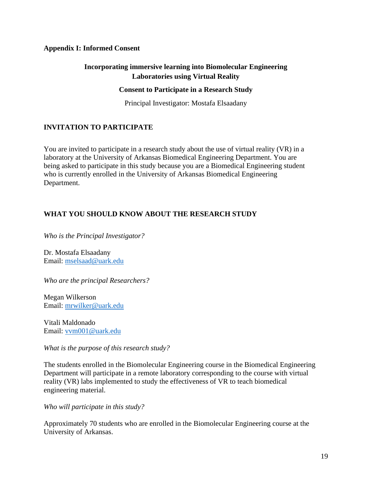## **Appendix I: Informed Consent**

## **Incorporating immersive learning into Biomolecular Engineering Laboratories using Virtual Reality**

### **Consent to Participate in a Research Study**

Principal Investigator: Mostafa Elsaadany

## **INVITATION TO PARTICIPATE**

You are invited to participate in a research study about the use of virtual reality (VR) in a laboratory at the University of Arkansas Biomedical Engineering Department. You are being asked to participate in this study because you are a Biomedical Engineering student who is currently enrolled in the University of Arkansas Biomedical Engineering Department.

## **WHAT YOU SHOULD KNOW ABOUT THE RESEARCH STUDY**

*Who is the Principal Investigator?*

Dr. Mostafa Elsaadany Email: [mselsaad@uark.edu](mailto:mselsaad@uark.edu)

*Who are the principal Researchers?*

Megan Wilkerson Email: [mrwilker@uark.edu](mailto:mrwilker@uark.edu)

Vitali Maldonado Email: [vvm001@uark.edu](mailto:vvm001@uark.edu)

*What is the purpose of this research study?*

The students enrolled in the Biomolecular Engineering course in the Biomedical Engineering Department will participate in a remote laboratory corresponding to the course with virtual reality (VR) labs implemented to study the effectiveness of VR to teach biomedical engineering material.

*Who will participate in this study?*

Approximately 70 students who are enrolled in the Biomolecular Engineering course at the University of Arkansas.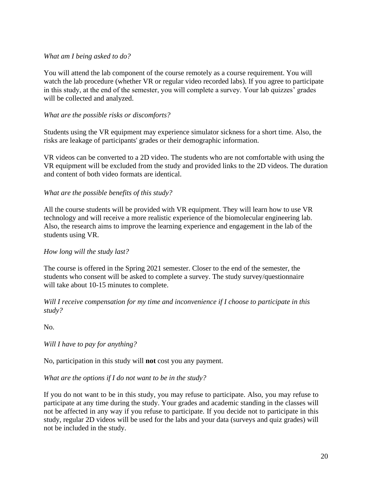## *What am I being asked to do?*

You will attend the lab component of the course remotely as a course requirement. You will watch the lab procedure (whether VR or regular video recorded labs). If you agree to participate in this study, at the end of the semester, you will complete a survey. Your lab quizzes' grades will be collected and analyzed.

## *What are the possible risks or discomforts?*

Students using the VR equipment may experience simulator sickness for a short time. Also, the risks are leakage of participants' grades or their demographic information.

VR videos can be converted to a 2D video. The students who are not comfortable with using the VR equipment will be excluded from the study and provided links to the 2D videos. The duration and content of both video formats are identical.

## *What are the possible benefits of this study?*

All the course students will be provided with VR equipment. They will learn how to use VR technology and will receive a more realistic experience of the biomolecular engineering lab. Also, the research aims to improve the learning experience and engagement in the lab of the students using VR.

## *How long will the study last?*

The course is offered in the Spring 2021 semester. Closer to the end of the semester, the students who consent will be asked to complete a survey. The study survey/questionnaire will take about 10-15 minutes to complete.

*Will I receive compensation for my time and inconvenience if I choose to participate in this study?*

No.

*Will I have to pay for anything?*

No, participation in this study will **not** cost you any payment.

## *What are the options if I do not want to be in the study?*

If you do not want to be in this study, you may refuse to participate. Also, you may refuse to participate at any time during the study. Your grades and academic standing in the classes will not be affected in any way if you refuse to participate. If you decide not to participate in this study, regular 2D videos will be used for the labs and your data (surveys and quiz grades) will not be included in the study.